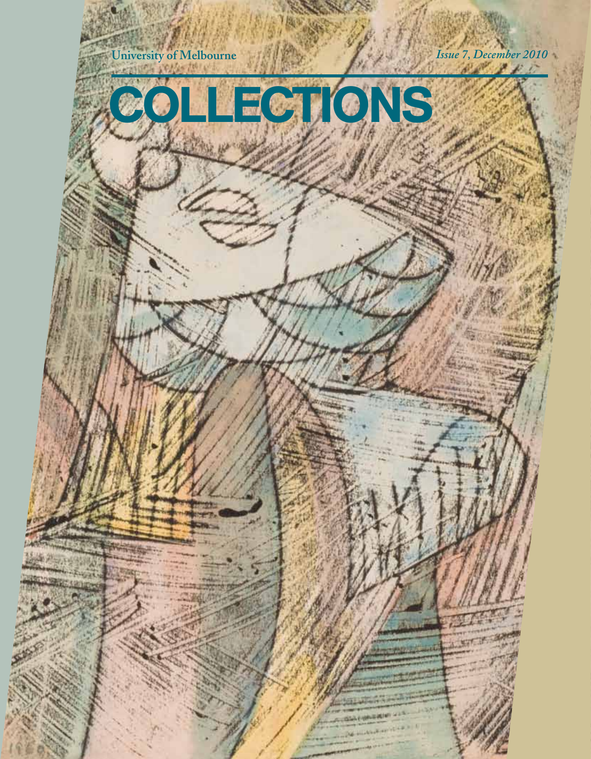

## COLLECTIONS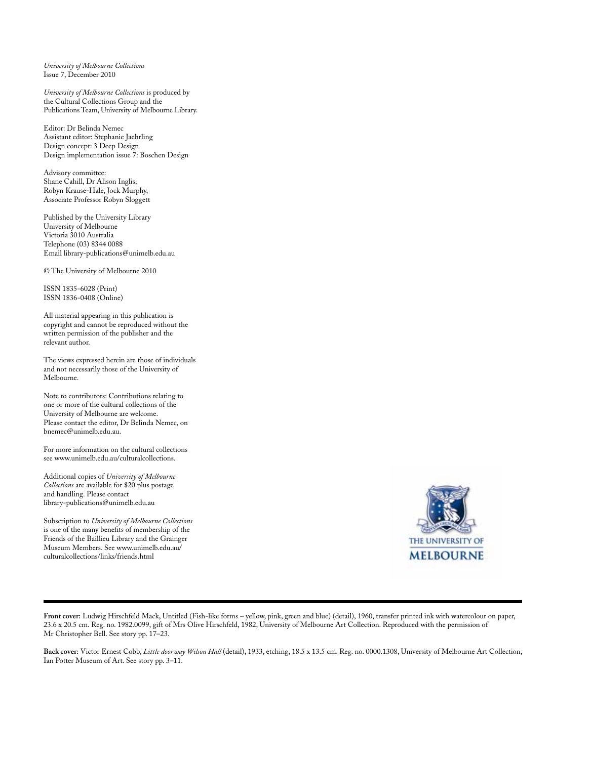*University of Melbourne Collections* Issue 7, December 2010

*University of Melbourne Collections* is produced by the Cultural Collections Group and the Publications Team, University of Melbourne Library.

Editor: Dr Belinda Nemec Assistant editor: Stephanie Jaehrling Design concept: 3 Deep Design Design implementation issue 7: Boschen Design

Advisory committee: Shane Cahill, Dr Alison Inglis, Robyn Krause-Hale, Jock Murphy, Associate Professor Robyn Sloggett

Published by the University Library University of Melbourne Victoria 3010 Australia Telephone (03) 8344 0088 Email library-publications@unimelb.edu.au

© The University of Melbourne 2010

ISSN 1835-6028 (Print) ISSN 1836-0408 (Online)

All material appearing in this publication is copyright and cannot be reproduced without the written permission of the publisher and the relevant author.

The views expressed herein are those of individuals and not necessarily those of the University of Melbourne.

Note to contributors: Contributions relating to one or more of the cultural collections of the University of Melbourne are welcome. Please contact the editor, Dr Belinda Nemec, on bnemec@unimelb.edu.au.

For more information on the cultural collections see www.unimelb.edu.au/culturalcollections.

Additional copies of *University of Melbourne Collections* are available for \$20 plus postage and handling. Please contact library-publications@unimelb.edu.au

Subscription to *University of Melbourne Collections*  is one of the many benefits of membership of the Friends of the Baillieu Library and the Grainger Museum Members. See www.unimelb.edu.au/ culturalcollections/links/friends.html



**Front cover:** Ludwig Hirschfeld Mack, Untitled (Fish-like forms – yellow, pink, green and blue) (detail), 1960, transfer printed ink with watercolour on paper, 23.6 x 20.5 cm. Reg. no. 1982.0099, gift of Mrs Olive Hirschfeld, 1982, University of Melbourne Art Collection. Reproduced with the permission of Mr Christopher Bell. See story pp. 17–23.

**Back cover:** Victor Ernest Cobb, *Little doorway Wilson Hall* (detail), 1933, etching, 18.5 x 13.5 cm. Reg. no. 0000.1308, University of Melbourne Art Collection, Ian Potter Museum of Art. See story pp. 3–11.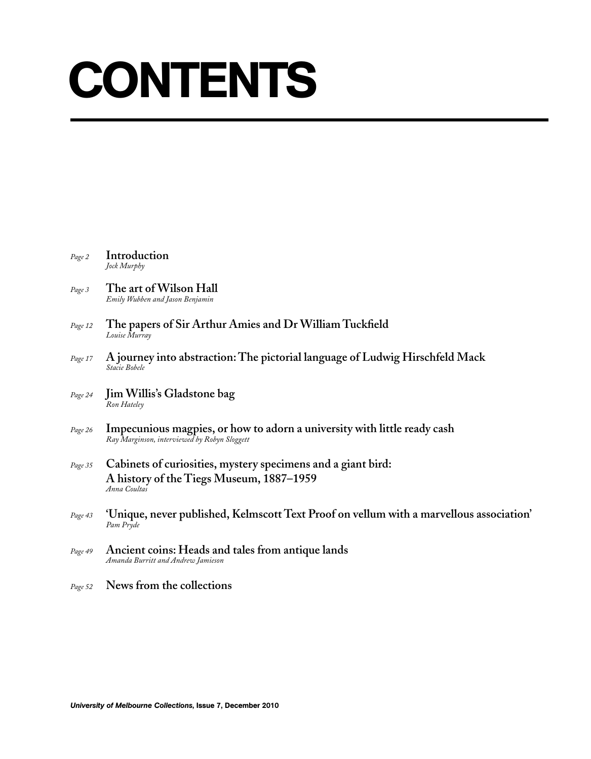## **CONTENTS**

| Page 2  | Introduction<br>Jock Murphy                                                                                              |
|---------|--------------------------------------------------------------------------------------------------------------------------|
| Page 3  | The art of Wilson Hall<br>Emily Wubben and Jason Benjamin                                                                |
| Page 12 | The papers of Sir Arthur Amies and Dr William Tuckfield<br>Louise Murray                                                 |
| Page 17 | A journey into abstraction: The pictorial language of Ludwig Hirschfeld Mack<br>Stacie Bobele                            |
| Page 24 | Jim Willis's Gladstone bag<br>Ron Hateley                                                                                |
| Page 26 | Impecunious magpies, or how to adorn a university with little ready cash<br>Ray Marginson, interviewed by Robyn Sloggett |
| Page 35 | Cabinets of curiosities, mystery specimens and a giant bird:<br>A history of the Tiegs Museum, 1887–1959<br>Anna Coultas |
| Page 43 | 'Unique, never published, Kelmscott Text Proof on vellum with a marvellous association'<br>Pam Pryde                     |
| Page 49 | Ancient coins: Heads and tales from antique lands<br>Amanda Burritt and Andrew Jamieson                                  |
| Page 52 | News from the collections                                                                                                |